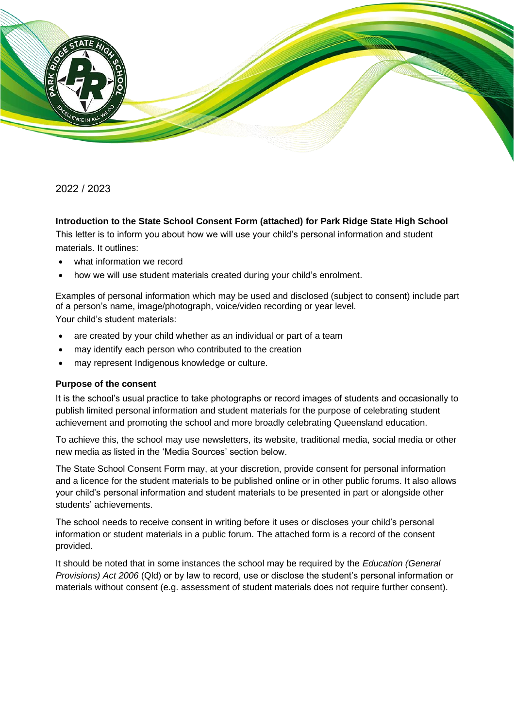

## 2022 / 2023

#### **Introduction to the State School Consent Form (attached) for Park Ridge State High School**

This letter is to inform you about how we will use your child's personal information and student materials. It outlines:

- what information we record
- how we will use student materials created during your child's enrolment.

Examples of personal information which may be used and disclosed (subject to consent) include part of a person's name, image/photograph, voice/video recording or year level. Your child's student materials:

- are created by your child whether as an individual or part of a team
- may identify each person who contributed to the creation
- may represent Indigenous knowledge or culture.

#### **Purpose of the consent**

It is the school's usual practice to take photographs or record images of students and occasionally to publish limited personal information and student materials for the purpose of celebrating student achievement and promoting the school and more broadly celebrating Queensland education.

To achieve this, the school may use newsletters, its website, traditional media, social media or other new media as listed in the 'Media Sources' section below.

The State School Consent Form may, at your discretion, provide consent for personal information and a licence for the student materials to be published online or in other public forums. It also allows your child's personal information and student materials to be presented in part or alongside other students' achievements.

The school needs to receive consent in writing before it uses or discloses your child's personal information or student materials in a public forum. The attached form is a record of the consent provided.

It should be noted that in some instances the school may be required by the *Education (General Provisions) Act 2006* (Qld) or by law to record, use or disclose the student's personal information or materials without consent (e.g. assessment of student materials does not require further consent).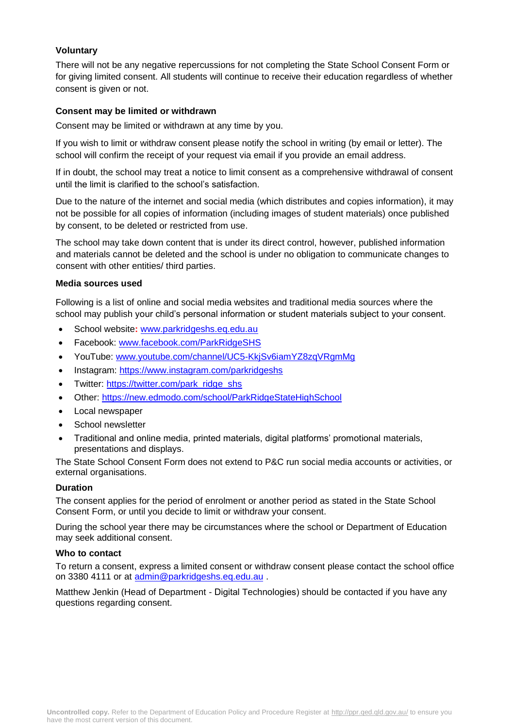## **Voluntary**

There will not be any negative repercussions for not completing the State School Consent Form or for giving limited consent. All students will continue to receive their education regardless of whether consent is given or not.

### **Consent may be limited or withdrawn**

Consent may be limited or withdrawn at any time by you.

If you wish to limit or withdraw consent please notify the school in writing (by email or letter). The school will confirm the receipt of your request via email if you provide an email address.

If in doubt, the school may treat a notice to limit consent as a comprehensive withdrawal of consent until the limit is clarified to the school's satisfaction.

Due to the nature of the internet and social media (which distributes and copies information), it may not be possible for all copies of information (including images of student materials) once published by consent, to be deleted or restricted from use.

The school may take down content that is under its direct control, however, published information and materials cannot be deleted and the school is under no obligation to communicate changes to consent with other entities/ third parties.

### **Media sources used**

Following is a list of online and social media websites and traditional media sources where the school may publish your child's personal information or student materials subject to your consent.

- School website**:** [www.parkridgeshs.eq.edu.au](http://www.parkridgeshs.eq.edu.au/)
- Facebook: [www.facebook.com/ParkRidgeSHS](http://www.facebook.com/ParkRidgeSHS)
- YouTube: [www.youtube.com/channel/UC5-KkjSv6iamYZ8zqVRgmMg](http://www.youtube.com/channel/UC5-KkjSv6iamYZ8zqVRgmMg)
- Instagram:<https://www.instagram.com/parkridgeshs>
- Twitter: [https://twitter.com/park\\_ridge\\_shs](https://twitter.com/park_ridge_shs)
- Other:<https://new.edmodo.com/school/ParkRidgeStateHighSchool>
- Local newspaper
- School newsletter
- Traditional and online media, printed materials, digital platforms' promotional materials, presentations and displays.

The State School Consent Form does not extend to P&C run social media accounts or activities, or external organisations.

#### **Duration**

The consent applies for the period of enrolment or another period as stated in the State School Consent Form, or until you decide to limit or withdraw your consent.

During the school year there may be circumstances where the school or Department of Education may seek additional consent.

#### **Who to contact**

To return a consent, express a limited consent or withdraw consent please contact the school office on 3380 4111 or at [admin@parkridgeshs.eq.edu.au](mailto:admin@parkridgeshs.eq.edu.au).

Matthew Jenkin (Head of Department - Digital Technologies) should be contacted if you have any questions regarding consent.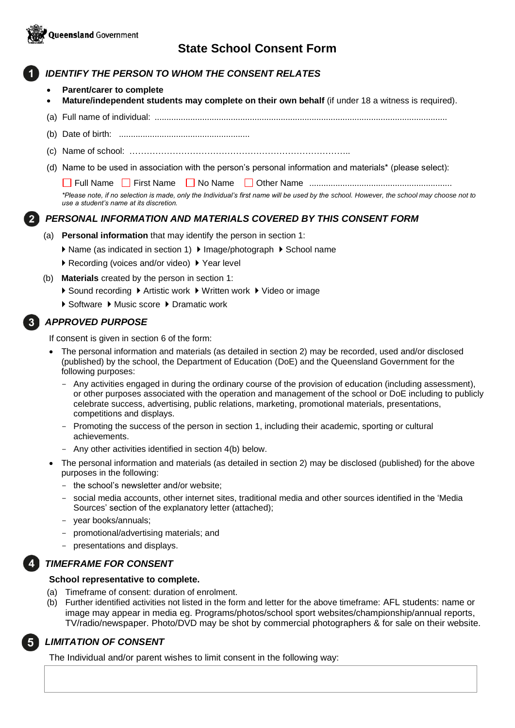

# **State School Consent Form**

## *IDENTIFY THE PERSON TO WHOM THE CONSENT RELATES*

- **Parent/carer to complete**
- **Mature/independent students may complete on their own behalf** (if under 18 a witness is required).
- (a) Full name of individual: ...........................................................................................................................
- (b) Date of birth: .......................................................
- (c) Name of school: …………………………………………………………………..
- (d) Name to be used in association with the person's personal information and materials\* (please select):

Full Name First Name No Name Other Name ............................................................

*\*Please note, if no selection is made, only the Individual's first name will be used by the school. However, the school may choose not to use a student's name at its discretion.*

## *PERSONAL INFORMATION AND MATERIALS COVERED BY THIS CONSENT FORM*

- (a) **Personal information** that may identify the person in section 1:
	- ▶ Name (as indicated in section 1) ▶ Image/photograph ▶ School name
	- ▶ Recording (voices and/or video) ▶ Year level
- (b) **Materials** created by the person in section 1:
	- ▶ Sound recording ▶ Artistic work ▶ Written work ▶ Video or image
	- ▶ Software ▶ Music score ▶ Dramatic work

#### *APPROVED PURPOSE*

If consent is given in section 6 of the form:

- The personal information and materials (as detailed in section 2) may be recorded, used and/or disclosed (published) by the school, the Department of Education (DoE) and the Queensland Government for the following purposes:
	- Any activities engaged in during the ordinary course of the provision of education (including assessment), or other purposes associated with the operation and management of the school or DoE including to publicly celebrate success, advertising, public relations, marketing, promotional materials, presentations, competitions and displays.
	- Promoting the success of the person in section 1, including their academic, sporting or cultural achievements.
	- Any other activities identified in section 4(b) below.
- The personal information and materials (as detailed in section 2) may be disclosed (published) for the above purposes in the following:
	- the school's newsletter and/or website;
	- social media accounts, other internet sites, traditional media and other sources identified in the 'Media Sources' section of the explanatory letter (attached);
	- year books/annuals;
	- promotional/advertising materials; and
	- presentations and displays.

#### *TIMEFRAME FOR CONSENT*

#### **School representative to complete.**

- (a) Timeframe of consent: duration of enrolment.
- (b) Further identified activities not listed in the form and letter for the above timeframe: AFL students: name or image may appear in media eg. Programs/photos/school sport websites/championship/annual reports, TV/radio/newspaper. Photo/DVD may be shot by commercial photographers & for sale on their website.



## *LIMITATION OF CONSENT*

The Individual and/or parent wishes to limit consent in the following way: